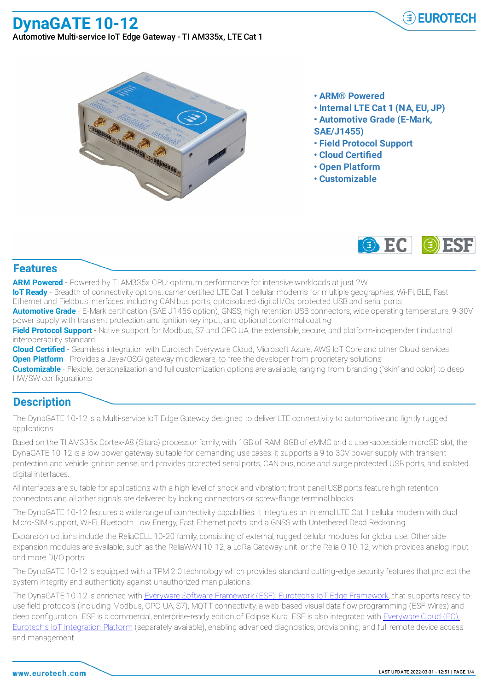# **DynaGATE 10-12**

Automotive Multi-service IoT Edge Gateway - TI AM335x, LTE Cat 1

**A A A A** 

- - **• ARM® Powered**
	- **• Internal LTE Cat 1 (NA, EU, JP)**
	- **• Automotive Grade (E-Mark,**
	- **SAE/J1455)**
	- **• Field Protocol Support**
	- **• Cloud Certified**
	- **• Open Platform**
	- **• Customizable**



#### **Features**

**ARM Powered** - Powered by TI AM335x CPU: optimum performance for intensive workloads at just 2W

**IoT Ready** - Breadth of connectivity options: carrier certified LTE Cat 1 cellular modems for multiple geographies, Wi-Fi, BLE, Fast Ethernet and Fieldbus interfaces, including CAN bus ports, optoisolated digital I/Os, protected USB and serial ports

**Automotive Grade** - E-Mark certification (SAE J1455 option), GNSS, high retention USB connectors, wide operating temperature, 9-30V power supply with transient protection and ignition key input, and optional conformal coating

**Field Protocol Support** - Native support for Modbus, S7 and OPC UA, the extensible, secure, and platform-independent industrial interoperability standard

**Cloud Certified** - Seamless integration with Eurotech Everyware Cloud, Microsoft Azure, AWS IoT Core and other Cloud services **Open Platform** - Provides a Java/OSGi gateway middleware, to free the developer from proprietary solutions

**Customizable** - Flexible: personalization and full customization options are available, ranging from branding ("skin" and color) to deep HW/SW configurations

### **Description**

The DynaGATE 10-12 is a Multi-service IoT Edge Gateway designed to deliver LTE connectivity to automotive and lightly rugged applications.

Based on the TI AM335x Cortex-A8 (Sitara) processor family, with 1GB of RAM, 8GB of eMMC and a user-accessible microSD slot, the DynaGATE 10-12 is a low power gateway suitable for demanding use cases: it supports a 9 to 30V power supply with transient protection and vehicle ignition sense, and provides protected serial ports, CAN bus, noise and surge protected USB ports, and isolated digital interfaces.

All interfaces are suitable for applications with a high level of shock and vibration: front panel USB ports feature high retention connectors and all other signals are delivered by locking connectors or screw-flange terminal blocks.

The DynaGATE 10-12 features a wide range of connectivity capabilities: it integrates an internal LTE Cat 1 cellular modem with dual Micro-SIM support, Wi-Fi, Bluetooth Low Energy, Fast Ethernet ports, and a GNSS with Untethered Dead Reckoning.

Expansion options include the ReliaCELL 10-20 family, consisting of external, rugged cellular modules for global use. Other side expansion modules are available, such as the ReliaWAN 10-12, a LoRa Gateway unit, or the ReliaIO 10-12, which provides analog input and more DI/O ports.

The DynaGATE 10-12 is equipped with a TPM 2.0 technology which provides standard cutting-edge security features that protect the system integrity and authenticity against unauthorized manipulations.

The DynaGATE 10-12 is enriched with Everyware Software Framework (ESF), Eurotech's IoT Edge Framework, that supports ready-touse field protocols (including Modbus, OPC-UA, S7), MQTT connectivity, a web-based visual data flow programming (ESF Wires) and deep configuration. ESF is a commercial, enterprise-ready edition of Eclipse Kura. ESF is also integrated with Everyware Cloud (EC), Eurotech's IoT Integration Platform (separately available), enabling advanced diagnostics, provisioning, and full remote device access and management

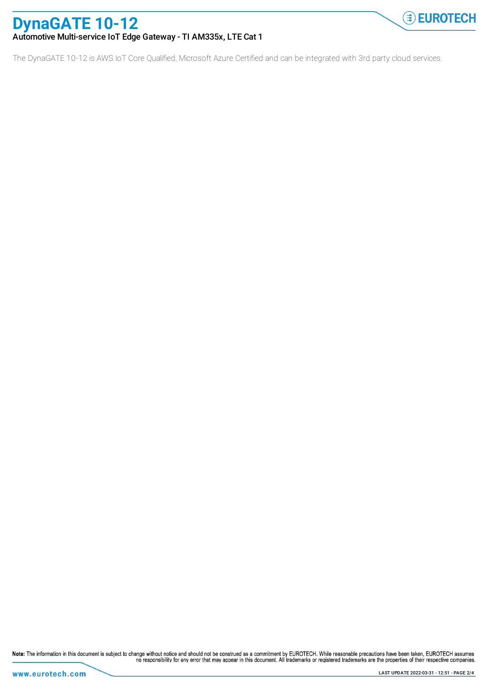# **DynaGATE 10-12**

#### Automotive Multi-service IoT Edge Gateway - TI AM335x, LTE Cat 1

The DynaGATE 10-12 is AWS IoT Core Qualified, Microsoft Azure Certified and can be integrated with 3rd party cloud services.

Note: The information in this document is subject to change without notice and should not be construed as a commitment by EUROTECH. While reasonable precautions have been taken, EUROTECH assumes<br>no responsibility for any e

**EUROTECH**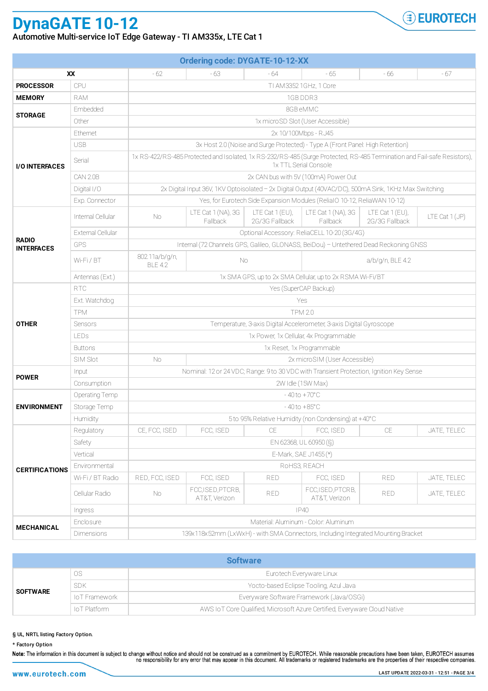## **DynaGATE 10-12**

Automotive Multi-service IoT Edge Gateway - TI AM335x, LTE Cat 1

| <b>Ordering code: DYGATE-10-12-XX</b> |                   |                                                                                                                                                   |                                    |                                     |                                    |                                     |                |  |  |
|---------------------------------------|-------------------|---------------------------------------------------------------------------------------------------------------------------------------------------|------------------------------------|-------------------------------------|------------------------------------|-------------------------------------|----------------|--|--|
| XX                                    |                   | $-62$                                                                                                                                             | - 63                               | $-64$                               | $-65$                              | - 66                                | - 67           |  |  |
| <b>PROCESSOR</b>                      | CPU               | TI AM3352 1GHz, 1 Core                                                                                                                            |                                    |                                     |                                    |                                     |                |  |  |
| <b>MEMORY</b>                         | <b>RAM</b>        | 1GB DDR3                                                                                                                                          |                                    |                                     |                                    |                                     |                |  |  |
| <b>STORAGE</b>                        | Embedded          | 8GB eMMC                                                                                                                                          |                                    |                                     |                                    |                                     |                |  |  |
|                                       | Other             | 1x microSD Slot (User Accessible)                                                                                                                 |                                    |                                     |                                    |                                     |                |  |  |
| <b>I/O INTERFACES</b>                 | Ethernet          | 2x 10/100Mbps - RJ45                                                                                                                              |                                    |                                     |                                    |                                     |                |  |  |
|                                       | <b>USB</b>        | 3x Host 2.0 (Noise and Surge Protected) - Type A (Front Panel: High Retention)                                                                    |                                    |                                     |                                    |                                     |                |  |  |
|                                       | Serial            | 1x RS-422/RS-485 Protected and Isolated, 1x RS-232/RS-485 (Surge Protected, RS-485 Termination and Fail-safe Resistors),<br>1x TTL Serial Console |                                    |                                     |                                    |                                     |                |  |  |
|                                       | CAN 2.0B          | 2x CAN bus with 5V (100mA) Power Out                                                                                                              |                                    |                                     |                                    |                                     |                |  |  |
|                                       | Digital I/O       | 2x Digital Input 36V, 1KV Optoisolated - 2x Digital Output (40VAC/DC), 500mA Sink, 1KHz Max Switching                                             |                                    |                                     |                                    |                                     |                |  |  |
|                                       | Exp. Connector    | Yes, for Eurotech Side Expansion Modules (ReliaIO 10-12, ReliaWAN 10-12)                                                                          |                                    |                                     |                                    |                                     |                |  |  |
| <b>RADIO</b><br><b>INTERFACES</b>     | Internal Cellular | No.                                                                                                                                               | LTE Cat 1 (NA), 3G<br>Fallback     | LTE Cat $1$ (EU),<br>2G/3G Fallback | LTE Cat 1 (NA), 3G<br>Fallback     | LTE Cat $1$ (EU),<br>2G/3G Fallback | LTE Cat 1 (JP) |  |  |
|                                       | External Cellular | Optional Accessory: ReliaCELL 10-20 (3G/4G)                                                                                                       |                                    |                                     |                                    |                                     |                |  |  |
|                                       | GPS               | Internal (72 Channels GPS, Galileo, GLONASS, BeiDou) - Untethered Dead Reckoning GNSS                                                             |                                    |                                     |                                    |                                     |                |  |  |
|                                       | Wi-Fi/BT          | 802.11a/b/g/n,<br><b>BLE 4.2</b>                                                                                                                  | No.                                |                                     | a/b/g/n, BLE 4.2                   |                                     |                |  |  |
|                                       | Antennas (Ext.)   | 1x SMA GPS, up to 2x SMA Cellular, up to 2x RSMA Wi-Fi/BT                                                                                         |                                    |                                     |                                    |                                     |                |  |  |
| <b>OTHER</b>                          | <b>RTC</b>        | Yes (SuperCAP Backup)                                                                                                                             |                                    |                                     |                                    |                                     |                |  |  |
|                                       | Ext. Watchdog     | Yes                                                                                                                                               |                                    |                                     |                                    |                                     |                |  |  |
|                                       | <b>TPM</b>        | <b>TPM 2.0</b>                                                                                                                                    |                                    |                                     |                                    |                                     |                |  |  |
|                                       | Sensors           | Temperature, 3-axis Digital Accelerometer, 3-axis Digital Gyroscope                                                                               |                                    |                                     |                                    |                                     |                |  |  |
|                                       | <b>LEDs</b>       | 1x Power, 1x Cellular, 4x Programmable                                                                                                            |                                    |                                     |                                    |                                     |                |  |  |
|                                       | <b>Buttons</b>    | 1x Reset, 1x Programmable                                                                                                                         |                                    |                                     |                                    |                                     |                |  |  |
|                                       | SIM Slot          | No.                                                                                                                                               |                                    |                                     | 2x microSIM (User Accessible)      |                                     |                |  |  |
| <b>POWER</b>                          | Input             | Nominal: 12 or 24 VDC; Range: 9 to 30 VDC with Transient Protection, Ignition Key Sense                                                           |                                    |                                     |                                    |                                     |                |  |  |
|                                       | Consumption       | 2W Idle (15W Max)                                                                                                                                 |                                    |                                     |                                    |                                     |                |  |  |
| <b>ENVIRONMENT</b>                    | Operating Temp    | $-40$ to $+70^{\circ}$ C                                                                                                                          |                                    |                                     |                                    |                                     |                |  |  |
|                                       | Storage Temp      | $-40$ to $+85^{\circ}$ C                                                                                                                          |                                    |                                     |                                    |                                     |                |  |  |
|                                       | Humidity          | 5 to 95% Relative Humidity (non Condensing) at +40°C                                                                                              |                                    |                                     |                                    |                                     |                |  |  |
| <b>CERTIFICATIONS</b>                 | Regulatory        | CE, FCC, ISED                                                                                                                                     | FCC, ISED                          | CE                                  | FCC, ISED                          | CE                                  | JATE, TELEC    |  |  |
|                                       | Safety            | EN 62368, UL 60950 (S)                                                                                                                            |                                    |                                     |                                    |                                     |                |  |  |
|                                       | Vertical          | E-Mark, SAE J1455 (*)                                                                                                                             |                                    |                                     |                                    |                                     |                |  |  |
|                                       | Environmental     |                                                                                                                                                   | ROHS3, REACH                       |                                     |                                    |                                     |                |  |  |
|                                       | Wi-Fi / BT Radio  | RED, FCC, ISED                                                                                                                                    | FCC, ISED                          | <b>RED</b>                          | FCC, ISED                          | <b>RED</b>                          | JATE, TELEC    |  |  |
|                                       | Cellular Radio    | No.                                                                                                                                               | FCC, ISED, PTCRB,<br>AT&T, Verizon | <b>RED</b>                          | FCC, ISED, PTCRB,<br>AT&T, Verizon | RED.                                | JATE, TELEC    |  |  |
|                                       | Ingress           | IP40                                                                                                                                              |                                    |                                     |                                    |                                     |                |  |  |
| <b>MECHANICAL</b>                     | Enclosure         | Material: Aluminum - Color: Aluminum                                                                                                              |                                    |                                     |                                    |                                     |                |  |  |
|                                       | Dimensions        | 139x118x52mm (LxWxH) - with SMA Connectors, Including Integrated Mounting Bracket                                                                 |                                    |                                     |                                    |                                     |                |  |  |

| <b>Software</b> |               |                                                                            |  |  |  |  |  |
|-----------------|---------------|----------------------------------------------------------------------------|--|--|--|--|--|
| <b>SOFTWARE</b> | <b>OS</b>     | Eurotech Everyware Linux                                                   |  |  |  |  |  |
|                 | <b>SDK</b>    | Yocto-based Eclipse Tooling, Azul Java                                     |  |  |  |  |  |
|                 | IoT Framework | Everyware Software Framework (Java/OSGi)                                   |  |  |  |  |  |
|                 | loT Platform  | AWS Io T Core Qualified, Microsoft Azure Certified, Everyware Cloud Native |  |  |  |  |  |

§ UL, NRTL listing Factory Option.

\* Factory Option<br>Note: The information in this document is subject to change without notice and should not be construed as a commitment by EUROTECH. While reasonable precautions have been taken, EUROTECH assumes<br>no respons

**EUROTECH**